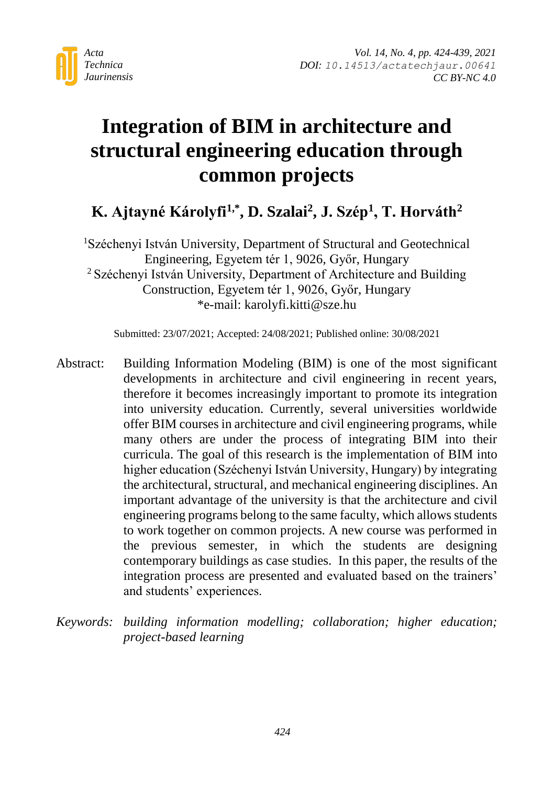

# **Integration of BIM in architecture and structural engineering education through common projects**

## **K. Ajtayné Károlyfi1,\*, D. Szalai<sup>2</sup> , J. Szép<sup>1</sup> , T. Horváth<sup>2</sup>**

<sup>1</sup>Széchenyi István University, Department of Structural and Geotechnical Engineering, Egyetem tér 1, 9026, Győr, Hungary <sup>2</sup> Széchenyi István University, Department of Architecture and Building Construction, Egyetem tér 1, 9026, Győr, Hungary \*e-mail: karolyfi.kitti@sze.hu

Submitted: 23/07/2021; Accepted: 24/08/2021; Published online: 30/08/2021

- Abstract: Building Information Modeling (BIM) is one of the most significant developments in architecture and civil engineering in recent years, therefore it becomes increasingly important to promote its integration into university education. Currently, several universities worldwide offer BIM courses in architecture and civil engineering programs, while many others are under the process of integrating BIM into their curricula. The goal of this research is the implementation of BIM into higher education (Széchenyi István University, Hungary) by integrating the architectural, structural, and mechanical engineering disciplines. An important advantage of the university is that the architecture and civil engineering programs belong to the same faculty, which allows students to work together on common projects. A new course was performed in the previous semester, in which the students are designing contemporary buildings as case studies. In this paper, the results of the integration process are presented and evaluated based on the trainers' and students' experiences.
- *Keywords: building information modelling; collaboration; higher education; project-based learning*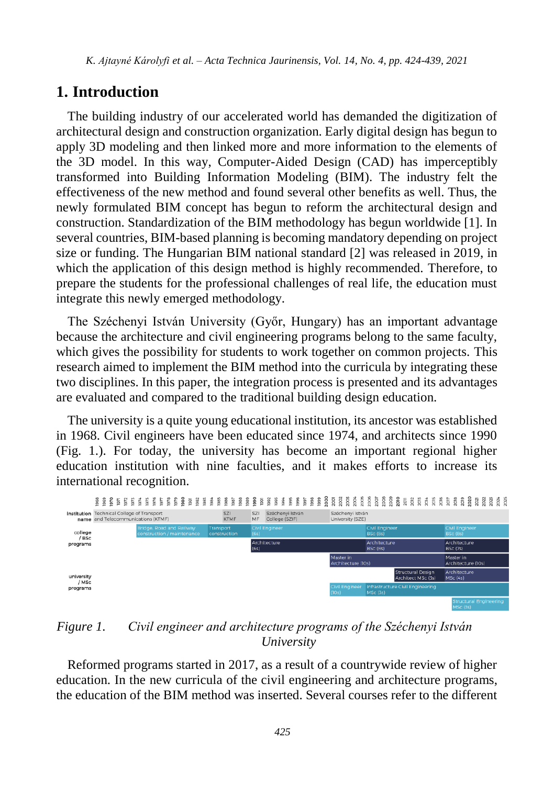#### **1. Introduction**

The building industry of our accelerated world has demanded the digitization of architectural design and construction organization. Early digital design has begun to apply 3D modeling and then linked more and more information to the elements of the 3D model. In this way, Computer-Aided Design (CAD) has imperceptibly transformed into Building Information Modeling (BIM). The industry felt the effectiveness of the new method and found several other benefits as well. Thus, the newly formulated BIM concept has begun to reform the architectural design and construction. Standardization of the BIM methodology has begun worldwide [1]. In several countries, BIM-based planning is becoming mandatory depending on project size or funding. The Hungarian BIM national standard [2] was released in 2019, in which the application of this design method is highly recommended. Therefore, to prepare the students for the professional challenges of real life, the education must integrate this newly emerged methodology.

The Széchenyi István University (Győr, Hungary) has an important advantage because the architecture and civil engineering programs belong to the same faculty, which gives the possibility for students to work together on common projects. This research aimed to implement the BIM method into the curricula by integrating these two disciplines. In this paper, the integration process is presented and its advantages are evaluated and compared to the traditional building design education.

The university is a quite young educational institution, its ancestor was established in 1968. Civil engineers have been educated since 1974, and architects since 1990 (Fig. 1.). For today, the university has become an important regional higher education institution with nine faculties, and it makes efforts to increase its international recognition.



#### *Figure 1. Civil engineer and architecture programs of the Széchenyi István University*

Reformed programs started in 2017, as a result of a countrywide review of higher education. In the new curricula of the civil engineering and architecture programs, the education of the BIM method was inserted. Several courses refer to the different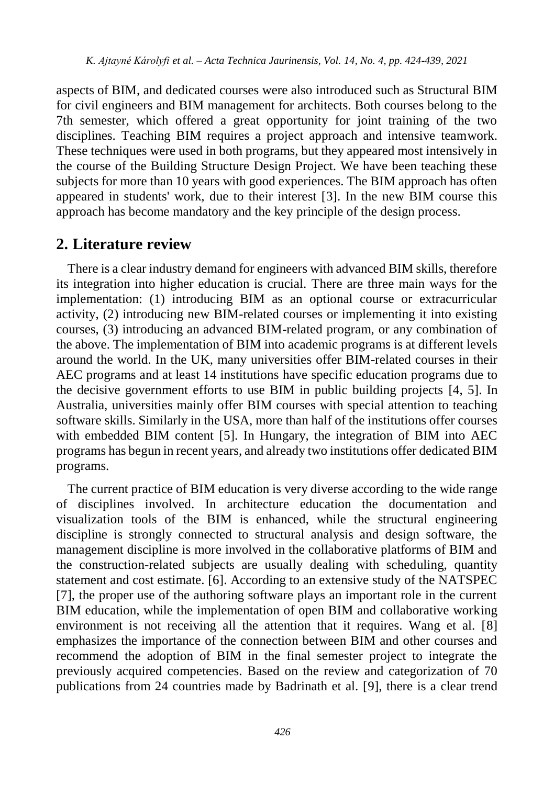aspects of BIM, and dedicated courses were also introduced such as Structural BIM for civil engineers and BIM management for architects. Both courses belong to the 7th semester, which offered a great opportunity for joint training of the two disciplines. Teaching BIM requires a project approach and intensive teamwork. These techniques were used in both programs, but they appeared most intensively in the course of the Building Structure Design Project. We have been teaching these subjects for more than 10 years with good experiences. The BIM approach has often appeared in students' work, due to their interest [3]. In the new BIM course this approach has become mandatory and the key principle of the design process.

#### **2. Literature review**

There is a clear industry demand for engineers with advanced BIM skills, therefore its integration into higher education is crucial. There are three main ways for the implementation: (1) introducing BIM as an optional course or extracurricular activity, (2) introducing new BIM-related courses or implementing it into existing courses, (3) introducing an advanced BIM-related program, or any combination of the above. The implementation of BIM into academic programs is at different levels around the world. In the UK, many universities offer BIM-related courses in their AEC programs and at least 14 institutions have specific education programs due to the decisive government efforts to use BIM in public building projects [4, 5]. In Australia, universities mainly offer BIM courses with special attention to teaching software skills. Similarly in the USA, more than half of the institutions offer courses with embedded BIM content [5]. In Hungary, the integration of BIM into AEC programs has begun in recent years, and already two institutions offer dedicated BIM programs.

The current practice of BIM education is very diverse according to the wide range of disciplines involved. In architecture education the documentation and visualization tools of the BIM is enhanced, while the structural engineering discipline is strongly connected to structural analysis and design software, the management discipline is more involved in the collaborative platforms of BIM and the construction-related subjects are usually dealing with scheduling, quantity statement and cost estimate. [6]. According to an extensive study of the NATSPEC [7], the proper use of the authoring software plays an important role in the current BIM education, while the implementation of open BIM and collaborative working environment is not receiving all the attention that it requires. Wang et al. [8] emphasizes the importance of the connection between BIM and other courses and recommend the adoption of BIM in the final semester project to integrate the previously acquired competencies. Based on the review and categorization of 70 publications from 24 countries made by Badrinath et al. [9], there is a clear trend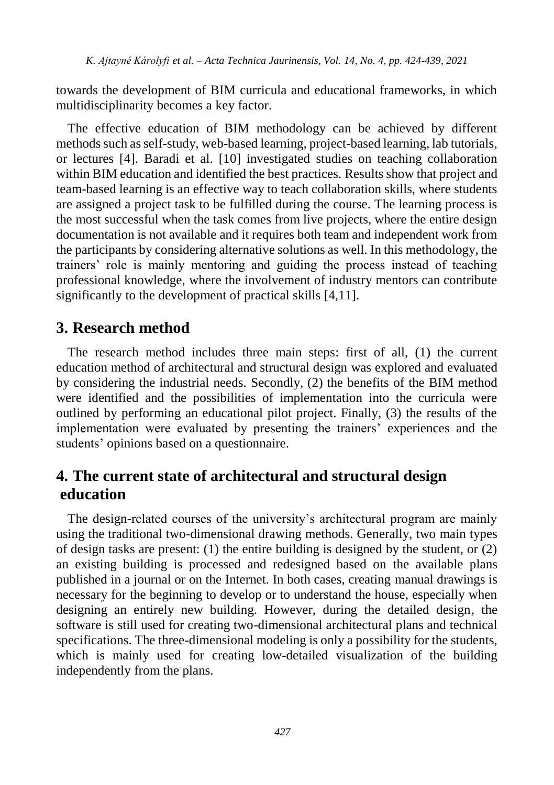towards the development of BIM curricula and educational frameworks, in which multidisciplinarity becomes a key factor.

The effective education of BIM methodology can be achieved by different methods such as self-study, web-based learning, project-based learning, lab tutorials, or lectures [4]. Baradi et al. [10] investigated studies on teaching collaboration within BIM education and identified the best practices. Results show that project and team-based learning is an effective way to teach collaboration skills, where students are assigned a project task to be fulfilled during the course. The learning process is the most successful when the task comes from live projects, where the entire design documentation is not available and it requires both team and independent work from the participants by considering alternative solutions as well. In this methodology, the trainers' role is mainly mentoring and guiding the process instead of teaching professional knowledge, where the involvement of industry mentors can contribute significantly to the development of practical skills [4,11].

### **3. Research method**

The research method includes three main steps: first of all, (1) the current education method of architectural and structural design was explored and evaluated by considering the industrial needs. Secondly, (2) the benefits of the BIM method were identified and the possibilities of implementation into the curricula were outlined by performing an educational pilot project. Finally, (3) the results of the implementation were evaluated by presenting the trainers' experiences and the students' opinions based on a questionnaire.

## **4. The current state of architectural and structural design education**

The design-related courses of the university's architectural program are mainly using the traditional two-dimensional drawing methods. Generally, two main types of design tasks are present: (1) the entire building is designed by the student, or (2) an existing building is processed and redesigned based on the available plans published in a journal or on the Internet. In both cases, creating manual drawings is necessary for the beginning to develop or to understand the house, especially when designing an entirely new building. However, during the detailed design, the software is still used for creating two-dimensional architectural plans and technical specifications. The three-dimensional modeling is only a possibility for the students, which is mainly used for creating low-detailed visualization of the building independently from the plans.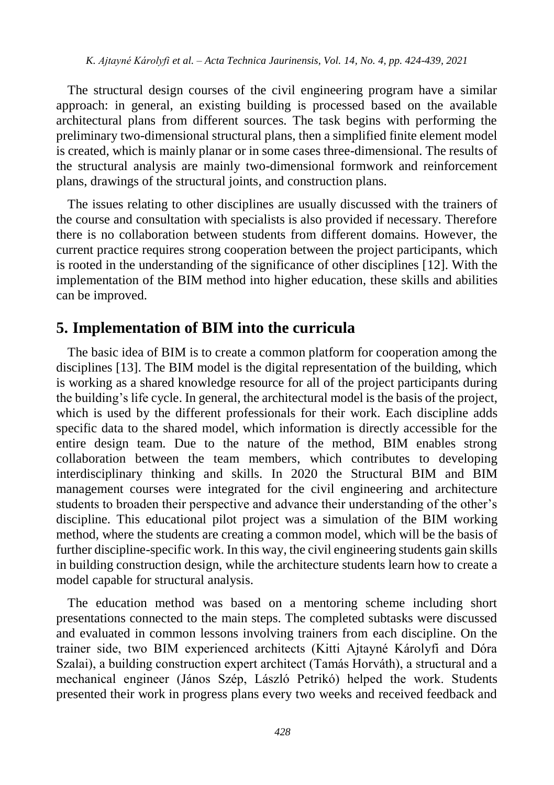The structural design courses of the civil engineering program have a similar approach: in general, an existing building is processed based on the available architectural plans from different sources. The task begins with performing the preliminary two-dimensional structural plans, then a simplified finite element model is created, which is mainly planar or in some cases three-dimensional. The results of the structural analysis are mainly two-dimensional formwork and reinforcement plans, drawings of the structural joints, and construction plans.

The issues relating to other disciplines are usually discussed with the trainers of the course and consultation with specialists is also provided if necessary. Therefore there is no collaboration between students from different domains. However, the current practice requires strong cooperation between the project participants, which is rooted in the understanding of the significance of other disciplines [12]. With the implementation of the BIM method into higher education, these skills and abilities can be improved.

## **5. Implementation of BIM into the curricula**

The basic idea of BIM is to create a common platform for cooperation among the disciplines [13]. The BIM model is the digital representation of the building, which is working as a shared knowledge resource for all of the project participants during the building's life cycle. In general, the architectural model is the basis of the project, which is used by the different professionals for their work. Each discipline adds specific data to the shared model, which information is directly accessible for the entire design team. Due to the nature of the method, BIM enables strong collaboration between the team members, which contributes to developing interdisciplinary thinking and skills. In 2020 the Structural BIM and BIM management courses were integrated for the civil engineering and architecture students to broaden their perspective and advance their understanding of the other's discipline. This educational pilot project was a simulation of the BIM working method, where the students are creating a common model, which will be the basis of further discipline-specific work. In this way, the civil engineering students gain skills in building construction design, while the architecture students learn how to create a model capable for structural analysis.

The education method was based on a mentoring scheme including short presentations connected to the main steps. The completed subtasks were discussed and evaluated in common lessons involving trainers from each discipline. On the trainer side, two BIM experienced architects (Kitti Ajtayné Károlyfi and Dóra Szalai), a building construction expert architect (Tamás Horváth), a structural and a mechanical engineer (János Szép, László Petrikó) helped the work. Students presented their work in progress plans every two weeks and received feedback and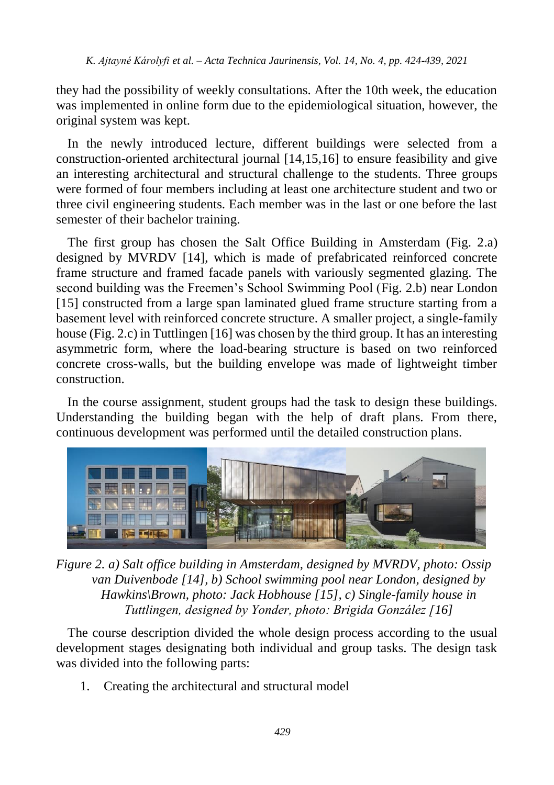they had the possibility of weekly consultations. After the 10th week, the education was implemented in online form due to the epidemiological situation, however, the original system was kept.

In the newly introduced lecture, different buildings were selected from a construction-oriented architectural journal [14,15,16] to ensure feasibility and give an interesting architectural and structural challenge to the students. Three groups were formed of four members including at least one architecture student and two or three civil engineering students. Each member was in the last or one before the last semester of their bachelor training.

The first group has chosen the Salt Office Building in Amsterdam (Fig. 2.a) designed by MVRDV [14], which is made of prefabricated reinforced concrete frame structure and framed facade panels with variously segmented glazing. The second building was the Freemen's School Swimming Pool (Fig. 2.b) near London [15] constructed from a large span laminated glued frame structure starting from a basement level with reinforced concrete structure. A smaller project, a single-family house (Fig. 2.c) in Tuttlingen [16] was chosen by the third group. It has an interesting asymmetric form, where the load-bearing structure is based on two reinforced concrete cross-walls, but the building envelope was made of lightweight timber construction.

In the course assignment, student groups had the task to design these buildings. Understanding the building began with the help of draft plans. From there, continuous development was performed until the detailed construction plans.



*Figure 2. a) Salt office building in Amsterdam, designed by MVRDV, photo: Ossip van Duivenbode [14], b) School swimming pool near London, designed by Hawkins\Brown, photo: Jack Hobhouse [15], c) Single-family house in Tuttlingen, designed by Yonder, photo: Brigida González [16]*

The course description divided the whole design process according to the usual development stages designating both individual and group tasks. The design task was divided into the following parts:

1. Creating the architectural and structural model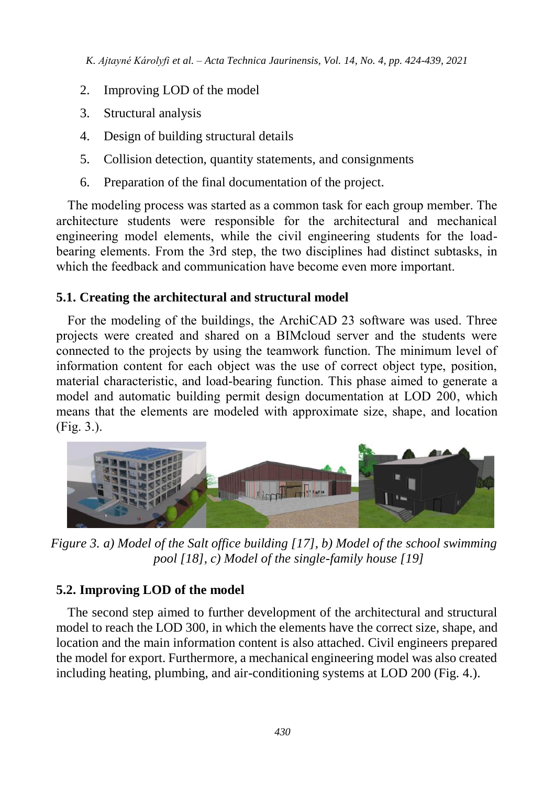- 2. Improving LOD of the model
- 3. Structural analysis
- 4. Design of building structural details
- 5. Collision detection, quantity statements, and consignments
- 6. Preparation of the final documentation of the project.

The modeling process was started as a common task for each group member. The architecture students were responsible for the architectural and mechanical engineering model elements, while the civil engineering students for the loadbearing elements. From the 3rd step, the two disciplines had distinct subtasks, in which the feedback and communication have become even more important.

#### **5.1. Creating the architectural and structural model**

For the modeling of the buildings, the ArchiCAD 23 software was used. Three projects were created and shared on a BIMcloud server and the students were connected to the projects by using the teamwork function. The minimum level of information content for each object was the use of correct object type, position, material characteristic, and load-bearing function. This phase aimed to generate a model and automatic building permit design documentation at LOD 200, which means that the elements are modeled with approximate size, shape, and location (Fig. 3.).



*Figure 3. a) Model of the Salt office building [17], b) Model of the school swimming pool [18], c) Model of the single-family house [19]*

#### **5.2. Improving LOD of the model**

The second step aimed to further development of the architectural and structural model to reach the LOD 300, in which the elements have the correct size, shape, and location and the main information content is also attached. Civil engineers prepared the model for export. Furthermore, a mechanical engineering model was also created including heating, plumbing, and air-conditioning systems at LOD 200 (Fig. 4.).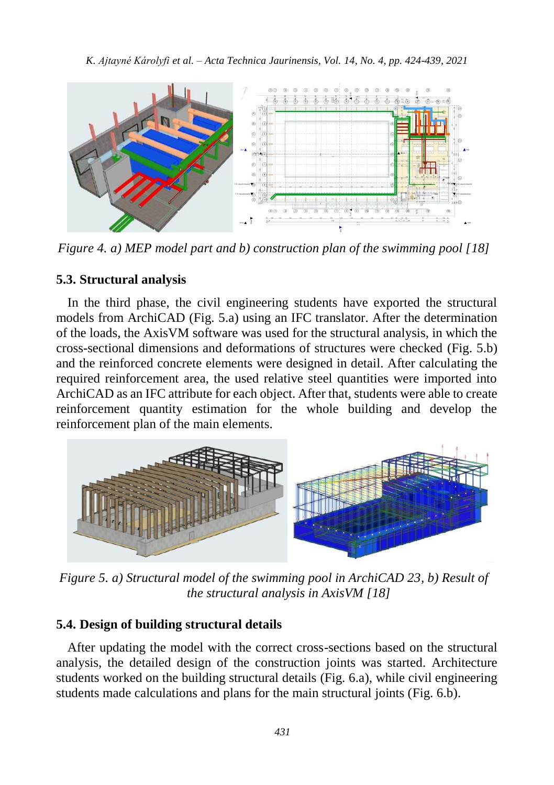

*Figure 4. a) MEP model part and b) construction plan of the swimming pool [18]* 

#### **5.3. Structural analysis**

In the third phase, the civil engineering students have exported the structural models from ArchiCAD (Fig. 5.a) using an IFC translator. After the determination of the loads, the AxisVM software was used for the structural analysis, in which the cross-sectional dimensions and deformations of structures were checked (Fig. 5.b) and the reinforced concrete elements were designed in detail. After calculating the required reinforcement area, the used relative steel quantities were imported into ArchiCAD as an IFC attribute for each object. After that, students were able to create reinforcement quantity estimation for the whole building and develop the reinforcement plan of the main elements.



*Figure 5. a) Structural model of the swimming pool in ArchiCAD 23, b) Result of the structural analysis in AxisVM [18]*

#### **5.4. Design of building structural details**

After updating the model with the correct cross-sections based on the structural analysis, the detailed design of the construction joints was started. Architecture students worked on the building structural details (Fig. 6.a), while civil engineering students made calculations and plans for the main structural joints (Fig. 6.b).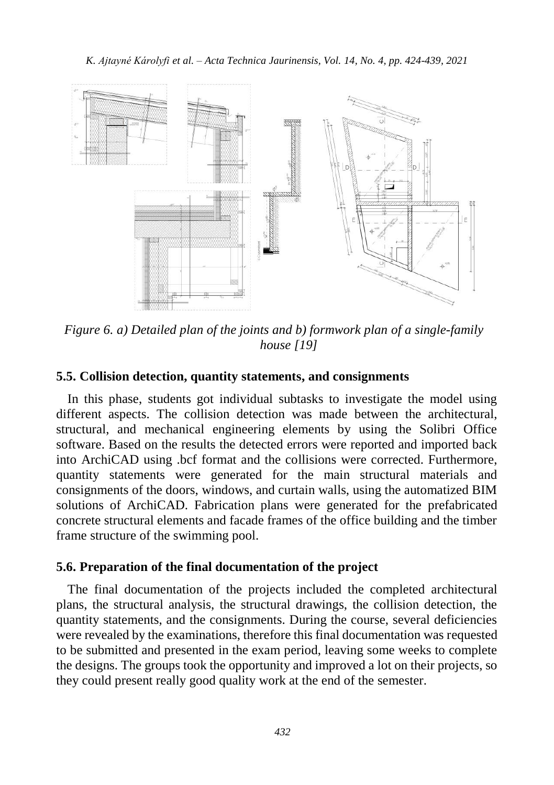

*Figure 6. a) Detailed plan of the joints and b) formwork plan of a single-family house [19]*

#### **5.5. Collision detection, quantity statements, and consignments**

In this phase, students got individual subtasks to investigate the model using different aspects. The collision detection was made between the architectural, structural, and mechanical engineering elements by using the Solibri Office software. Based on the results the detected errors were reported and imported back into ArchiCAD using .bcf format and the collisions were corrected. Furthermore, quantity statements were generated for the main structural materials and consignments of the doors, windows, and curtain walls, using the automatized BIM solutions of ArchiCAD. Fabrication plans were generated for the prefabricated concrete structural elements and facade frames of the office building and the timber frame structure of the swimming pool.

#### **5.6. Preparation of the final documentation of the project**

The final documentation of the projects included the completed architectural plans, the structural analysis, the structural drawings, the collision detection, the quantity statements, and the consignments. During the course, several deficiencies were revealed by the examinations, therefore this final documentation was requested to be submitted and presented in the exam period, leaving some weeks to complete the designs. The groups took the opportunity and improved a lot on their projects, so they could present really good quality work at the end of the semester.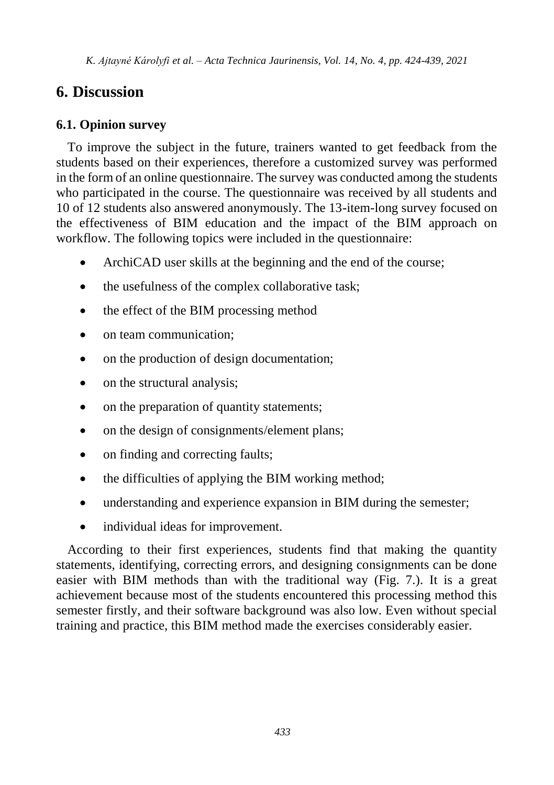## **6. Discussion**

#### **6.1. Opinion survey**

To improve the subject in the future, trainers wanted to get feedback from the students based on their experiences, therefore a customized survey was performed in the form of an online questionnaire. The survey was conducted among the students who participated in the course. The questionnaire was received by all students and 10 of 12 students also answered anonymously. The 13-item-long survey focused on the effectiveness of BIM education and the impact of the BIM approach on workflow. The following topics were included in the questionnaire:

- ArchiCAD user skills at the beginning and the end of the course;
- the usefulness of the complex collaborative task;
- the effect of the BIM processing method
- on team communication:
- on the production of design documentation;
- on the structural analysis;
- on the preparation of quantity statements;
- on the design of consignments/element plans;
- on finding and correcting faults;
- the difficulties of applying the BIM working method:
- understanding and experience expansion in BIM during the semester;
- individual ideas for improvement.

According to their first experiences, students find that making the quantity statements, identifying, correcting errors, and designing consignments can be done easier with BIM methods than with the traditional way (Fig. 7.). It is a great achievement because most of the students encountered this processing method this semester firstly, and their software background was also low. Even without special training and practice, this BIM method made the exercises considerably easier.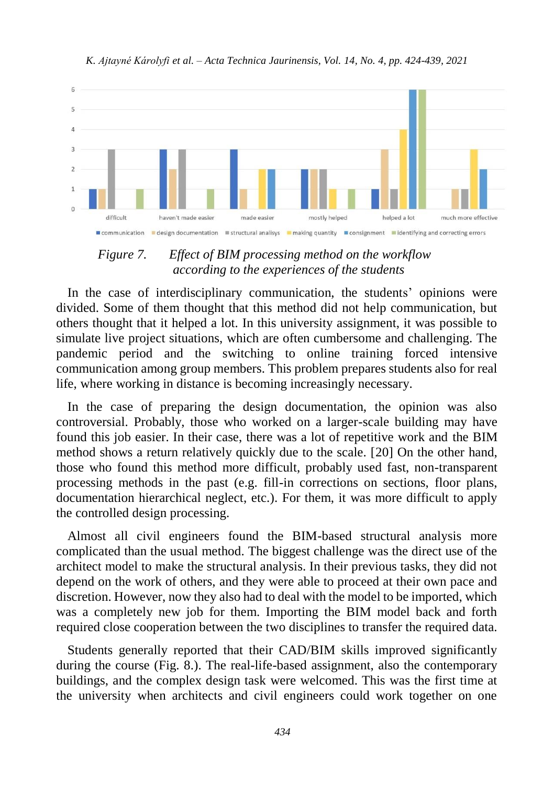

*Figure 7. Effect of BIM processing method on the workflow according to the experiences of the students*

In the case of interdisciplinary communication, the students' opinions were divided. Some of them thought that this method did not help communication, but others thought that it helped a lot. In this university assignment, it was possible to simulate live project situations, which are often cumbersome and challenging. The pandemic period and the switching to online training forced intensive communication among group members. This problem prepares students also for real life, where working in distance is becoming increasingly necessary.

In the case of preparing the design documentation, the opinion was also controversial. Probably, those who worked on a larger-scale building may have found this job easier. In their case, there was a lot of repetitive work and the BIM method shows a return relatively quickly due to the scale. [20] On the other hand, those who found this method more difficult, probably used fast, non-transparent processing methods in the past (e.g. fill-in corrections on sections, floor plans, documentation hierarchical neglect, etc.). For them, it was more difficult to apply the controlled design processing.

Almost all civil engineers found the BIM-based structural analysis more complicated than the usual method. The biggest challenge was the direct use of the architect model to make the structural analysis. In their previous tasks, they did not depend on the work of others, and they were able to proceed at their own pace and discretion. However, now they also had to deal with the model to be imported, which was a completely new job for them. Importing the BIM model back and forth required close cooperation between the two disciplines to transfer the required data.

Students generally reported that their CAD/BIM skills improved significantly during the course (Fig. 8.). The real-life-based assignment, also the contemporary buildings, and the complex design task were welcomed. This was the first time at the university when architects and civil engineers could work together on one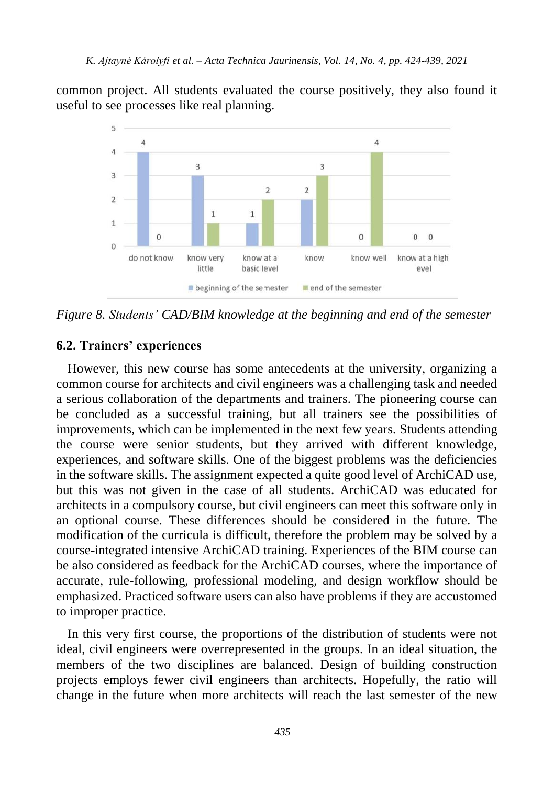common project. All students evaluated the course positively, they also found it useful to see processes like real planning.



*Figure 8. Students' CAD/BIM knowledge at the beginning and end of the semester*

#### **6.2. Trainers' experiences**

However, this new course has some antecedents at the university, organizing a common course for architects and civil engineers was a challenging task and needed a serious collaboration of the departments and trainers. The pioneering course can be concluded as a successful training, but all trainers see the possibilities of improvements, which can be implemented in the next few years. Students attending the course were senior students, but they arrived with different knowledge, experiences, and software skills. One of the biggest problems was the deficiencies in the software skills. The assignment expected a quite good level of ArchiCAD use, but this was not given in the case of all students. ArchiCAD was educated for architects in a compulsory course, but civil engineers can meet this software only in an optional course. These differences should be considered in the future. The modification of the curricula is difficult, therefore the problem may be solved by a course-integrated intensive ArchiCAD training. Experiences of the BIM course can be also considered as feedback for the ArchiCAD courses, where the importance of accurate, rule-following, professional modeling, and design workflow should be emphasized. Practiced software users can also have problems if they are accustomed to improper practice.

In this very first course, the proportions of the distribution of students were not ideal, civil engineers were overrepresented in the groups. In an ideal situation, the members of the two disciplines are balanced. Design of building construction projects employs fewer civil engineers than architects. Hopefully, the ratio will change in the future when more architects will reach the last semester of the new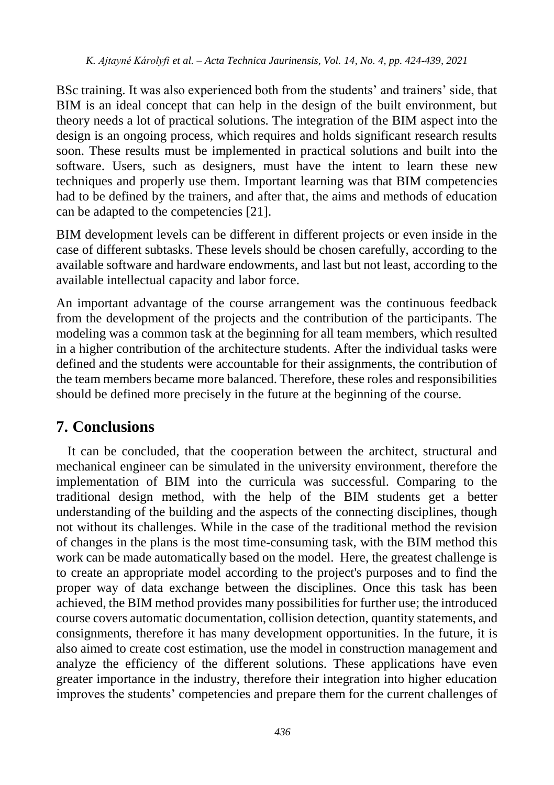BSc training. It was also experienced both from the students' and trainers' side, that BIM is an ideal concept that can help in the design of the built environment, but theory needs a lot of practical solutions. The integration of the BIM aspect into the design is an ongoing process, which requires and holds significant research results soon. These results must be implemented in practical solutions and built into the software. Users, such as designers, must have the intent to learn these new techniques and properly use them. Important learning was that BIM competencies had to be defined by the trainers, and after that, the aims and methods of education can be adapted to the competencies [21].

BIM development levels can be different in different projects or even inside in the case of different subtasks. These levels should be chosen carefully, according to the available software and hardware endowments, and last but not least, according to the available intellectual capacity and labor force.

An important advantage of the course arrangement was the continuous feedback from the development of the projects and the contribution of the participants. The modeling was a common task at the beginning for all team members, which resulted in a higher contribution of the architecture students. After the individual tasks were defined and the students were accountable for their assignments, the contribution of the team members became more balanced. Therefore, these roles and responsibilities should be defined more precisely in the future at the beginning of the course.

## **7. Conclusions**

It can be concluded, that the cooperation between the architect, structural and mechanical engineer can be simulated in the university environment, therefore the implementation of BIM into the curricula was successful. Comparing to the traditional design method, with the help of the BIM students get a better understanding of the building and the aspects of the connecting disciplines, though not without its challenges. While in the case of the traditional method the revision of changes in the plans is the most time-consuming task, with the BIM method this work can be made automatically based on the model. Here, the greatest challenge is to create an appropriate model according to the project's purposes and to find the proper way of data exchange between the disciplines. Once this task has been achieved, the BIM method provides many possibilities for further use; the introduced course covers automatic documentation, collision detection, quantity statements, and consignments, therefore it has many development opportunities. In the future, it is also aimed to create cost estimation, use the model in construction management and analyze the efficiency of the different solutions. These applications have even greater importance in the industry, therefore their integration into higher education improves the students' competencies and prepare them for the current challenges of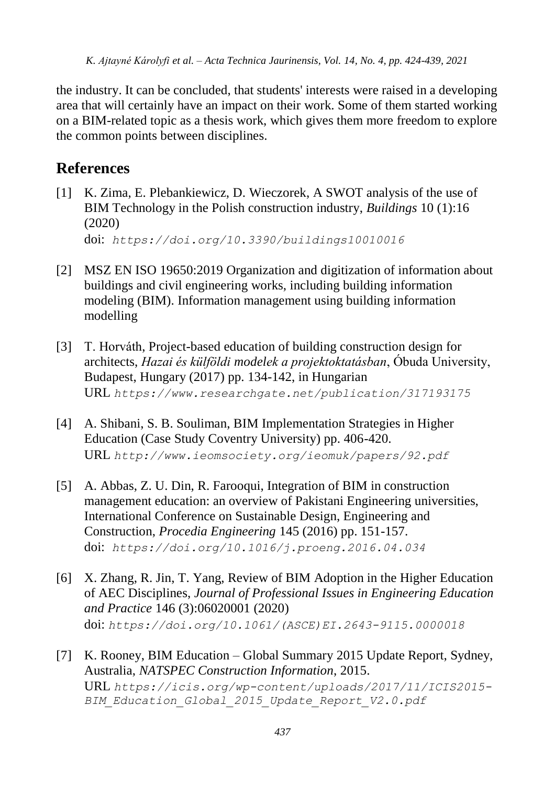the industry. It can be concluded, that students' interests were raised in a developing area that will certainly have an impact on their work. Some of them started working on a BIM-related topic as a thesis work, which gives them more freedom to explore the common points between disciplines.

## **References**

- [1] K. Zima, E. Plebankiewicz, D. Wieczorek, A SWOT analysis of the use of BIM Technology in the Polish construction industry, *Buildings* 10 (1):16 (2020) doi: *<https://doi.org/10.3390/buildings10010016>*
- [2] MSZ EN ISO 19650:2019 Organization and digitization of information about buildings and civil engineering works, including building information modeling (BIM). Information management using building information modelling
- [3] T. Horváth, Project-based education of building construction design for architects, *Hazai és külföldi modelek a projektoktatásban*, Óbuda University, Budapest, Hungary (2017) pp. 134-142, in Hungarian URL *<https://www.researchgate.net/publication/317193175>*
- [4] A. Shibani, S. B. Souliman, BIM Implementation Strategies in Higher Education (Case Study Coventry University) pp. 406-420. URL *<http://www.ieomsociety.org/ieomuk/papers/92.pdf>*
- [5] A. Abbas, Z. U. Din, R. Farooqui, Integration of BIM in construction management education: an overview of Pakistani Engineering universities, International Conference on Sustainable Design, Engineering and Construction, *Procedia Engineering* 145 (2016) pp. 151-157. doi: *<https://doi.org/10.1016/j.proeng.2016.04.034>*
- [6] X. Zhang, R. Jin, T. Yang, Review of BIM Adoption in the Higher Education of AEC Disciplines, *Journal of Professional Issues in Engineering Education and Practice* 146 (3):06020001 (2020) doi: *[https://doi.org/10.1061/\(ASCE\)EI.2643-9115.0000018](https://doi.org/10.1061/(ASCE)EI.2643-9115.0000018)*
- [7] K. Rooney, BIM Education Global Summary 2015 Update Report, Sydney, Australia, *NATSPEC Construction Information*, 2015.

URL *[https://icis.org/wp-content/uploads/2017/11/ICIS2015-](https://icis.org/wp-content/uploads/2017/11/ICIS2015-BIM_Education_Global_2015_Update_Report_V2.0.pdf) [BIM\\_Education\\_Global\\_2015\\_Update\\_Report\\_V2.0.pdf](https://icis.org/wp-content/uploads/2017/11/ICIS2015-BIM_Education_Global_2015_Update_Report_V2.0.pdf)*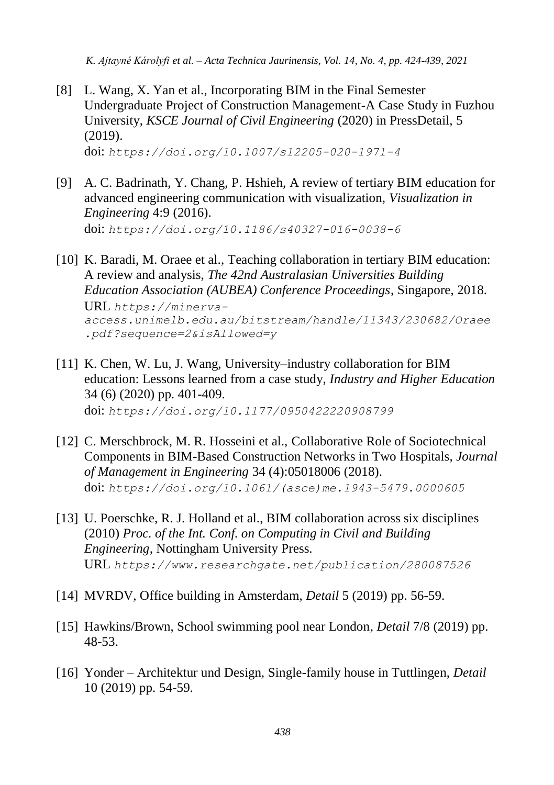- [8] L. Wang, X. Yan et al., Incorporating BIM in the Final Semester Undergraduate Project of Construction Management-A Case Study in Fuzhou University, *KSCE Journal of Civil Engineering* (2020) in PressDetail, 5 (2019). doi: *<https://doi.org/10.1007/s12205-020-1971-4>*
- [9] A. C. Badrinath, Y. Chang, P. Hshieh, A review of tertiary BIM education for advanced engineering communication with visualization, *Visualization in Engineering* 4:9 (2016). doi: *<https://doi.org/10.1186/s40327-016-0038-6>*
- [10] K. Baradi, M. Oraee et al., Teaching collaboration in tertiary BIM education: A review and analysis, *The 42nd Australasian Universities Building Education Association (AUBEA) Conference Proceedings*, Singapore, 2018. URL *[https://minerva](https://minerva-access.unimelb.edu.au/bitstream/handle/11343/230682/Oraee.pdf?sequence=2&isAllowed=y)[access.unimelb.edu.au/bitstream/handle/11343/230682/Oraee](https://minerva-access.unimelb.edu.au/bitstream/handle/11343/230682/Oraee.pdf?sequence=2&isAllowed=y) [.pdf?sequence=2&isAllowed=y](https://minerva-access.unimelb.edu.au/bitstream/handle/11343/230682/Oraee.pdf?sequence=2&isAllowed=y)*
- [11] K. Chen, W. Lu, J. Wang, University–industry collaboration for BIM education: Lessons learned from a case study, *Industry and Higher Education* 34 (6) (2020) pp. 401-409. doi: *[https://doi.org/10.1177/0950422220908799](https://doi.org/10.1177%2F0950422220908799)*
- [12] C. Merschbrock, M. R. Hosseini et al., Collaborative Role of Sociotechnical Components in BIM-Based Construction Networks in Two Hospitals, *Journal of Management in Engineering* 34 (4):05018006 (2018). doi: *[https://doi.org/10.1061/\(asce\)me.1943-5479.0000605](https://doi.org/10.1061/(asce)me.1943-5479.0000605)*
- [13] U. Poerschke, R. J. Holland et al., BIM collaboration across six disciplines (2010) *Proc. of the Int. Conf. on Computing in Civil and Building Engineering*, Nottingham University Press. URL *[https://www.researchgate.net/publication/280087526](file:///J:/Laptop/D/ATJ/Kitti/URL%20https:/www.researchgate.net/publication/280087526)*
- [14] MVRDV, Office building in Amsterdam, *Detail* 5 (2019) pp. 56-59.
- [15] Hawkins/Brown, School swimming pool near London, *Detail* 7/8 (2019) pp. 48-53.
- [16] Yonder Architektur und Design, Single-family house in Tuttlingen, *Detail* 10 (2019) pp. 54-59.